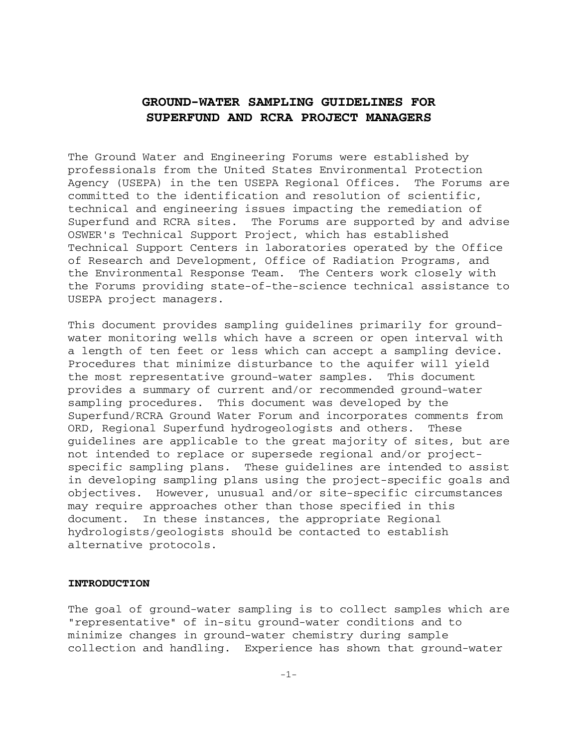### **GROUND-WATER SAMPLING GUIDELINES FOR SUPERFUND AND RCRA PROJECT MANAGERS**

The Ground Water and Engineering Forums were established by professionals from the United States Environmental Protection Agency (USEPA) in the ten USEPA Regional Offices. The Forums are committed to the identification and resolution of scientific, technical and engineering issues impacting the remediation of Superfund and RCRA sites. The Forums are supported by and advise OSWER's Technical Support Project, which has established Technical Support Centers in laboratories operated by the Office of Research and Development, Office of Radiation Programs, and the Environmental Response Team. The Centers work closely with the Forums providing state-of-the-science technical assistance to USEPA project managers.

This document provides sampling guidelines primarily for groundwater monitoring wells which have a screen or open interval with a length of ten feet or less which can accept a sampling device. Procedures that minimize disturbance to the aquifer will yield the most representative ground-water samples. This document provides a summary of current and/or recommended ground-water sampling procedures. This document was developed by the Superfund/RCRA Ground Water Forum and incorporates comments from ORD, Regional Superfund hydrogeologists and others. These guidelines are applicable to the great majority of sites, but are not intended to replace or supersede regional and/or projectspecific sampling plans. These guidelines are intended to assist in developing sampling plans using the project-specific goals and objectives. However, unusual and/or site-specific circumstances may require approaches other than those specified in this document. In these instances, the appropriate Regional hydrologists/geologists should be contacted to establish alternative protocols.

#### **INTRODUCTION**

The goal of ground-water sampling is to collect samples which are "representative" of in-situ ground-water conditions and to minimize changes in ground-water chemistry during sample collection and handling. Experience has shown that ground-water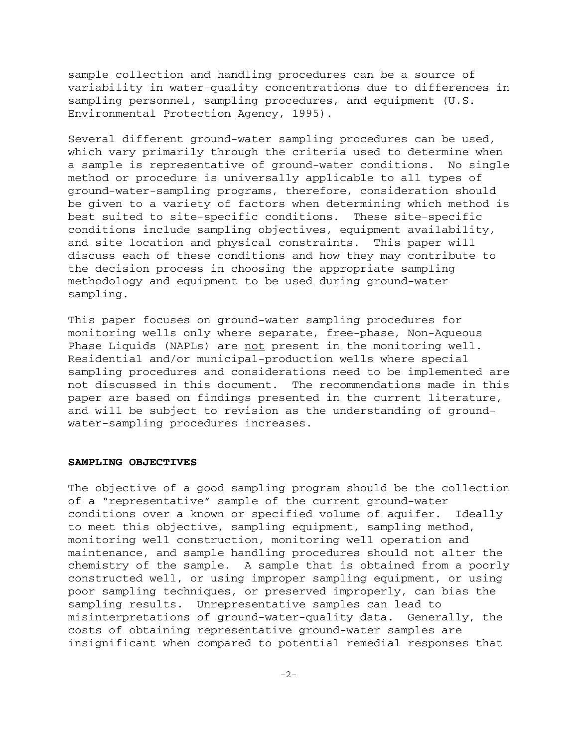sample collection and handling procedures can be a source of variability in water-quality concentrations due to differences in sampling personnel, sampling procedures, and equipment (U.S. Environmental Protection Agency, 1995).

Several different ground-water sampling procedures can be used, which vary primarily through the criteria used to determine when a sample is representative of ground-water conditions. No single method or procedure is universally applicable to all types of ground-water-sampling programs, therefore, consideration should be given to a variety of factors when determining which method is best suited to site-specific conditions. These site-specific conditions include sampling objectives, equipment availability, and site location and physical constraints. This paper will discuss each of these conditions and how they may contribute to the decision process in choosing the appropriate sampling methodology and equipment to be used during ground-water sampling.

This paper focuses on ground-water sampling procedures for monitoring wells only where separate, free-phase, Non-Aqueous Phase Liquids (NAPLs) are not present in the monitoring well. Residential and/or municipal-production wells where special sampling procedures and considerations need to be implemented are not discussed in this document. The recommendations made in this paper are based on findings presented in the current literature, and will be subject to revision as the understanding of groundwater-sampling procedures increases.

#### **SAMPLING OBJECTIVES**

The objective of a good sampling program should be the collection of a "representative" sample of the current ground-water conditions over a known or specified volume of aquifer. Ideally to meet this objective, sampling equipment, sampling method, monitoring well construction, monitoring well operation and maintenance, and sample handling procedures should not alter the chemistry of the sample. A sample that is obtained from a poorly constructed well, or using improper sampling equipment, or using poor sampling techniques, or preserved improperly, can bias the sampling results. Unrepresentative samples can lead to misinterpretations of ground-water-quality data. Generally, the costs of obtaining representative ground-water samples are insignificant when compared to potential remedial responses that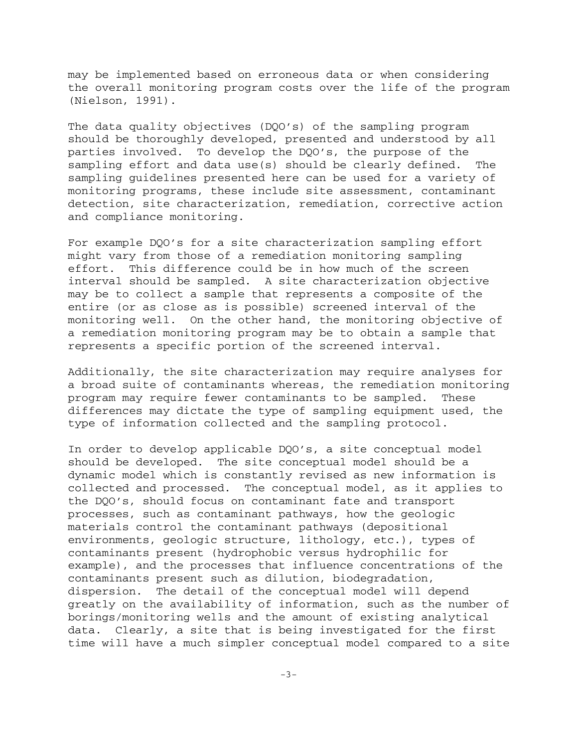may be implemented based on erroneous data or when considering the overall monitoring program costs over the life of the program (Nielson, 1991).

The data quality objectives (DQO's) of the sampling program should be thoroughly developed, presented and understood by all parties involved. To develop the DQO's, the purpose of the sampling effort and data use(s) should be clearly defined. The sampling guidelines presented here can be used for a variety of monitoring programs, these include site assessment, contaminant detection, site characterization, remediation, corrective action and compliance monitoring.

For example DQO's for a site characterization sampling effort might vary from those of a remediation monitoring sampling effort. This difference could be in how much of the screen interval should be sampled. A site characterization objective may be to collect a sample that represents a composite of the entire (or as close as is possible) screened interval of the monitoring well. On the other hand, the monitoring objective of a remediation monitoring program may be to obtain a sample that represents a specific portion of the screened interval.

Additionally, the site characterization may require analyses for a broad suite of contaminants whereas, the remediation monitoring program may require fewer contaminants to be sampled. These differences may dictate the type of sampling equipment used, the type of information collected and the sampling protocol.

In order to develop applicable DQO's, a site conceptual model should be developed. The site conceptual model should be a dynamic model which is constantly revised as new information is collected and processed. The conceptual model, as it applies to the DQO's, should focus on contaminant fate and transport processes, such as contaminant pathways, how the geologic materials control the contaminant pathways (depositional environments, geologic structure, lithology, etc.), types of contaminants present (hydrophobic versus hydrophilic for example), and the processes that influence concentrations of the contaminants present such as dilution, biodegradation, dispersion. The detail of the conceptual model will depend greatly on the availability of information, such as the number of borings/monitoring wells and the amount of existing analytical data. Clearly, a site that is being investigated for the first time will have a much simpler conceptual model compared to a site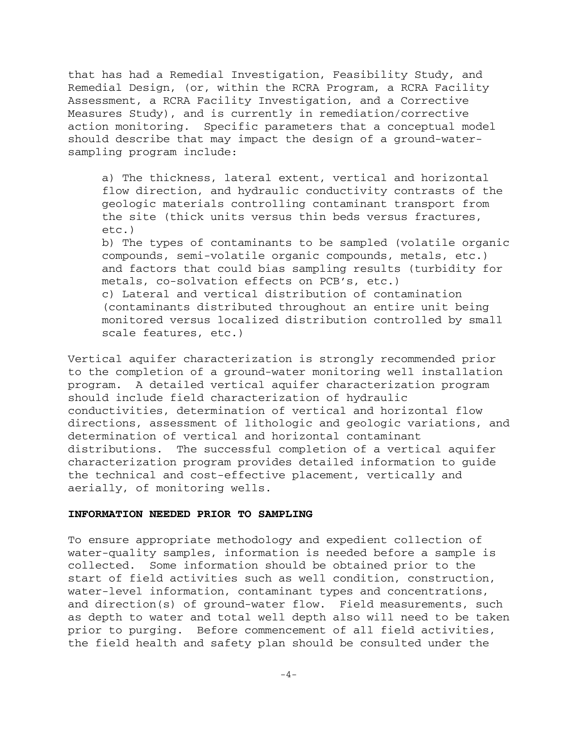that has had a Remedial Investigation, Feasibility Study, and Remedial Design, (or, within the RCRA Program, a RCRA Facility Assessment, a RCRA Facility Investigation, and a Corrective Measures Study), and is currently in remediation/corrective action monitoring. Specific parameters that a conceptual model should describe that may impact the design of a ground-watersampling program include:

a) The thickness, lateral extent, vertical and horizontal flow direction, and hydraulic conductivity contrasts of the geologic materials controlling contaminant transport from the site (thick units versus thin beds versus fractures, etc.)

b) The types of contaminants to be sampled (volatile organic compounds, semi-volatile organic compounds, metals, etc.) and factors that could bias sampling results (turbidity for metals, co-solvation effects on PCB's, etc.) c) Lateral and vertical distribution of contamination (contaminants distributed throughout an entire unit being

monitored versus localized distribution controlled by small scale features, etc.)

Vertical aquifer characterization is strongly recommended prior to the completion of a ground-water monitoring well installation program. A detailed vertical aquifer characterization program should include field characterization of hydraulic conductivities, determination of vertical and horizontal flow directions, assessment of lithologic and geologic variations, and determination of vertical and horizontal contaminant distributions. The successful completion of a vertical aquifer characterization program provides detailed information to guide the technical and cost-effective placement, vertically and aerially, of monitoring wells.

#### **INFORMATION NEEDED PRIOR TO SAMPLING**

To ensure appropriate methodology and expedient collection of water-quality samples, information is needed before a sample is collected. Some information should be obtained prior to the start of field activities such as well condition, construction, water-level information, contaminant types and concentrations, and direction(s) of ground-water flow. Field measurements, such as depth to water and total well depth also will need to be taken prior to purging. Before commencement of all field activities, the field health and safety plan should be consulted under the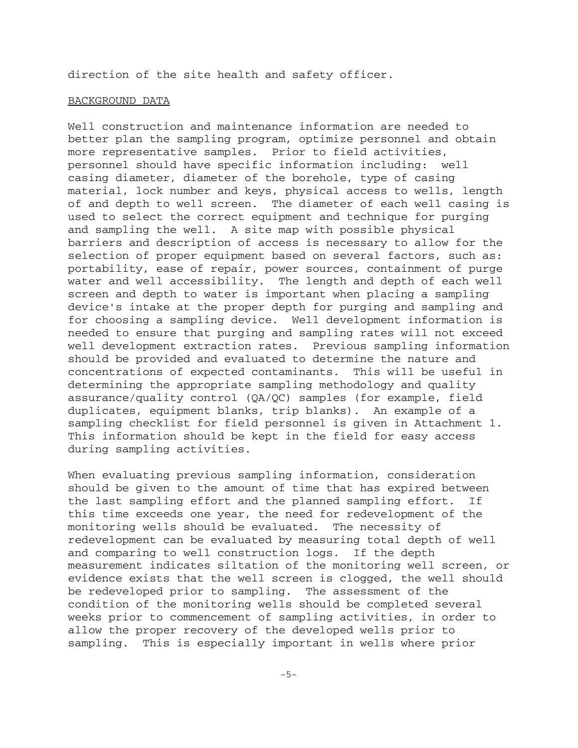direction of the site health and safety officer.

#### BACKGROUND DATA

Well construction and maintenance information are needed to better plan the sampling program, optimize personnel and obtain more representative samples. Prior to field activities, personnel should have specific information including: well casing diameter, diameter of the borehole, type of casing material, lock number and keys, physical access to wells, length of and depth to well screen. The diameter of each well casing is used to select the correct equipment and technique for purging and sampling the well. A site map with possible physical barriers and description of access is necessary to allow for the selection of proper equipment based on several factors, such as: portability, ease of repair, power sources, containment of purge water and well accessibility. The length and depth of each well screen and depth to water is important when placing a sampling device's intake at the proper depth for purging and sampling and for choosing a sampling device. Well development information is needed to ensure that purging and sampling rates will not exceed well development extraction rates. Previous sampling information should be provided and evaluated to determine the nature and concentrations of expected contaminants. This will be useful in determining the appropriate sampling methodology and quality assurance/quality control (QA/QC) samples (for example, field duplicates, equipment blanks, trip blanks). An example of a sampling checklist for field personnel is given in Attachment 1. This information should be kept in the field for easy access during sampling activities.

When evaluating previous sampling information, consideration should be given to the amount of time that has expired between the last sampling effort and the planned sampling effort. If this time exceeds one year, the need for redevelopment of the monitoring wells should be evaluated. The necessity of redevelopment can be evaluated by measuring total depth of well and comparing to well construction logs. If the depth measurement indicates siltation of the monitoring well screen, or evidence exists that the well screen is clogged, the well should be redeveloped prior to sampling. The assessment of the condition of the monitoring wells should be completed several weeks prior to commencement of sampling activities, in order to allow the proper recovery of the developed wells prior to sampling. This is especially important in wells where prior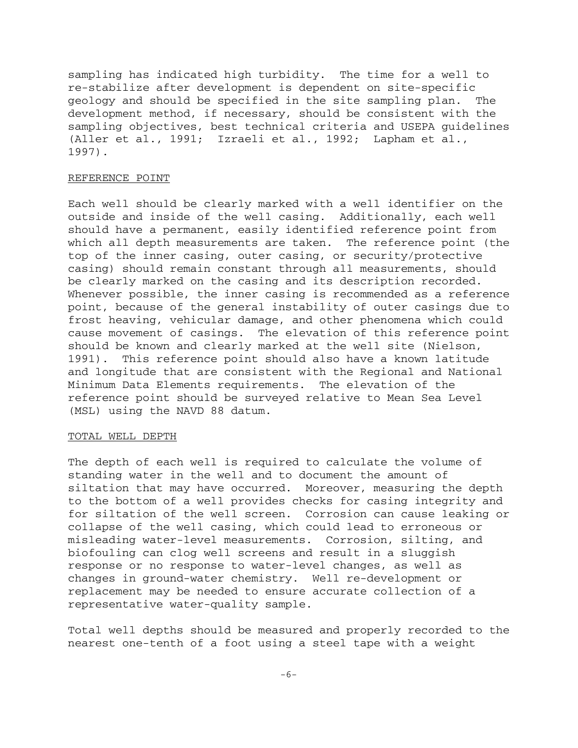sampling has indicated high turbidity. The time for a well to re-stabilize after development is dependent on site-specific geology and should be specified in the site sampling plan. The development method, if necessary, should be consistent with the sampling objectives, best technical criteria and USEPA guidelines (Aller et al., 1991; Izraeli et al., 1992; Lapham et al., 1997).

#### REFERENCE POINT

Each well should be clearly marked with a well identifier on the outside and inside of the well casing. Additionally, each well should have a permanent, easily identified reference point from which all depth measurements are taken. The reference point (the top of the inner casing, outer casing, or security/protective casing) should remain constant through all measurements, should be clearly marked on the casing and its description recorded. Whenever possible, the inner casing is recommended as a reference point, because of the general instability of outer casings due to frost heaving, vehicular damage, and other phenomena which could cause movement of casings. The elevation of this reference point should be known and clearly marked at the well site (Nielson, 1991). This reference point should also have a known latitude and longitude that are consistent with the Regional and National Minimum Data Elements requirements. The elevation of the reference point should be surveyed relative to Mean Sea Level (MSL) using the NAVD 88 datum.

#### TOTAL WELL DEPTH

The depth of each well is required to calculate the volume of standing water in the well and to document the amount of siltation that may have occurred. Moreover, measuring the depth to the bottom of a well provides checks for casing integrity and for siltation of the well screen. Corrosion can cause leaking or collapse of the well casing, which could lead to erroneous or misleading water-level measurements. Corrosion, silting, and biofouling can clog well screens and result in a sluggish response or no response to water-level changes, as well as changes in ground-water chemistry. Well re-development or replacement may be needed to ensure accurate collection of a representative water-quality sample.

Total well depths should be measured and properly recorded to the nearest one-tenth of a foot using a steel tape with a weight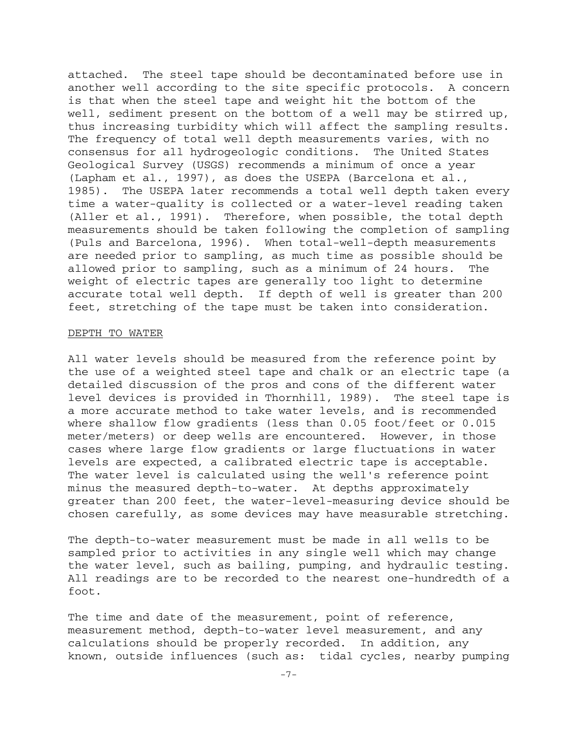attached. The steel tape should be decontaminated before use in another well according to the site specific protocols. A concern is that when the steel tape and weight hit the bottom of the well, sediment present on the bottom of a well may be stirred up, thus increasing turbidity which will affect the sampling results. The frequency of total well depth measurements varies, with no consensus for all hydrogeologic conditions. The United States Geological Survey (USGS) recommends a minimum of once a year (Lapham et al., 1997), as does the USEPA (Barcelona et al., 1985). The USEPA later recommends a total well depth taken every time a water-quality is collected or a water-level reading taken (Aller et al., 1991). Therefore, when possible, the total depth measurements should be taken following the completion of sampling (Puls and Barcelona, 1996). When total-well-depth measurements are needed prior to sampling, as much time as possible should be allowed prior to sampling, such as a minimum of 24 hours. The weight of electric tapes are generally too light to determine accurate total well depth. If depth of well is greater than 200 feet, stretching of the tape must be taken into consideration.

#### DEPTH TO WATER

All water levels should be measured from the reference point by the use of a weighted steel tape and chalk or an electric tape (a detailed discussion of the pros and cons of the different water level devices is provided in Thornhill, 1989). The steel tape is a more accurate method to take water levels, and is recommended where shallow flow gradients (less than 0.05 foot/feet or 0.015 meter/meters) or deep wells are encountered. However, in those cases where large flow gradients or large fluctuations in water levels are expected, a calibrated electric tape is acceptable. The water level is calculated using the well's reference point minus the measured depth-to-water. At depths approximately greater than 200 feet, the water-level-measuring device should be chosen carefully, as some devices may have measurable stretching.

The depth-to-water measurement must be made in all wells to be sampled prior to activities in any single well which may change the water level, such as bailing, pumping, and hydraulic testing. All readings are to be recorded to the nearest one-hundredth of a foot.

The time and date of the measurement, point of reference, measurement method, depth-to-water level measurement, and any calculations should be properly recorded. In addition, any known, outside influences (such as: tidal cycles, nearby pumping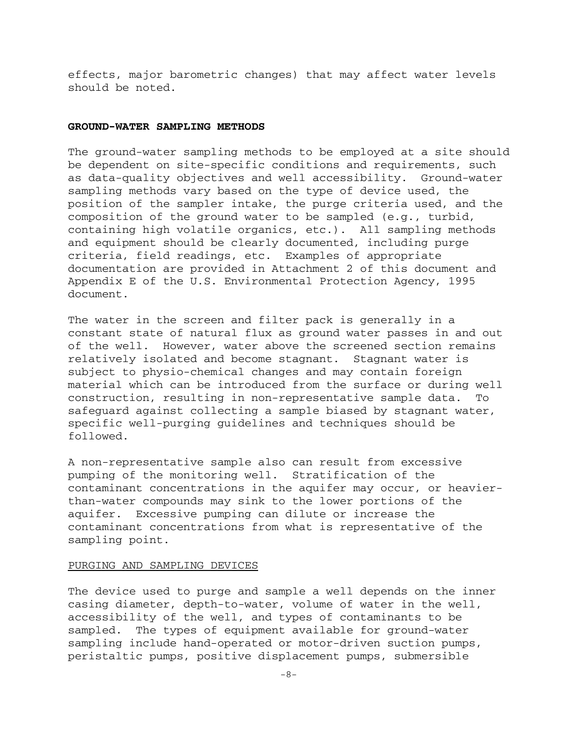effects, major barometric changes) that may affect water levels should be noted.

#### **GROUND-WATER SAMPLING METHODS**

The ground-water sampling methods to be employed at a site should be dependent on site-specific conditions and requirements, such as data-quality objectives and well accessibility. Ground-water sampling methods vary based on the type of device used, the position of the sampler intake, the purge criteria used, and the composition of the ground water to be sampled (e.g., turbid, containing high volatile organics, etc.). All sampling methods and equipment should be clearly documented, including purge criteria, field readings, etc. Examples of appropriate documentation are provided in Attachment 2 of this document and Appendix E of the U.S. Environmental Protection Agency, 1995 document.

The water in the screen and filter pack is generally in a constant state of natural flux as ground water passes in and out of the well. However, water above the screened section remains relatively isolated and become stagnant. Stagnant water is subject to physio-chemical changes and may contain foreign material which can be introduced from the surface or during well construction, resulting in non-representative sample data. To safeguard against collecting a sample biased by stagnant water, specific well-purging guidelines and techniques should be followed.

A non-representative sample also can result from excessive pumping of the monitoring well. Stratification of the contaminant concentrations in the aquifer may occur, or heavierthan-water compounds may sink to the lower portions of the aquifer. Excessive pumping can dilute or increase the contaminant concentrations from what is representative of the sampling point.

#### PURGING AND SAMPLING DEVICES

The device used to purge and sample a well depends on the inner casing diameter, depth-to-water, volume of water in the well, accessibility of the well, and types of contaminants to be sampled. The types of equipment available for ground-water sampling include hand-operated or motor-driven suction pumps, peristaltic pumps, positive displacement pumps, submersible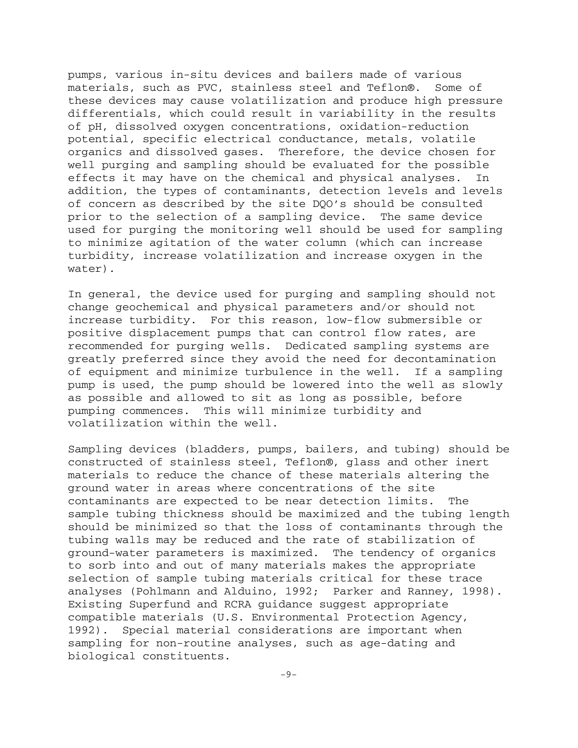pumps, various in-situ devices and bailers made of various materials, such as PVC, stainless steel and Teflon®. Some of these devices may cause volatilization and produce high pressure differentials, which could result in variability in the results of pH, dissolved oxygen concentrations, oxidation-reduction potential, specific electrical conductance, metals, volatile organics and dissolved gases. Therefore, the device chosen for well purging and sampling should be evaluated for the possible effects it may have on the chemical and physical analyses. In addition, the types of contaminants, detection levels and levels of concern as described by the site DQO's should be consulted prior to the selection of a sampling device. The same device used for purging the monitoring well should be used for sampling to minimize agitation of the water column (which can increase turbidity, increase volatilization and increase oxygen in the water).

In general, the device used for purging and sampling should not change geochemical and physical parameters and/or should not increase turbidity. For this reason, low-flow submersible or positive displacement pumps that can control flow rates, are recommended for purging wells. Dedicated sampling systems are greatly preferred since they avoid the need for decontamination of equipment and minimize turbulence in the well. If a sampling pump is used, the pump should be lowered into the well as slowly as possible and allowed to sit as long as possible, before pumping commences. This will minimize turbidity and volatilization within the well.

Sampling devices (bladders, pumps, bailers, and tubing) should be constructed of stainless steel, Teflon®, glass and other inert materials to reduce the chance of these materials altering the ground water in areas where concentrations of the site contaminants are expected to be near detection limits. The sample tubing thickness should be maximized and the tubing length should be minimized so that the loss of contaminants through the tubing walls may be reduced and the rate of stabilization of ground-water parameters is maximized. The tendency of organics to sorb into and out of many materials makes the appropriate selection of sample tubing materials critical for these trace analyses (Pohlmann and Alduino, 1992; Parker and Ranney, 1998). Existing Superfund and RCRA guidance suggest appropriate compatible materials (U.S. Environmental Protection Agency, 1992). Special material considerations are important when sampling for non-routine analyses, such as age-dating and biological constituents.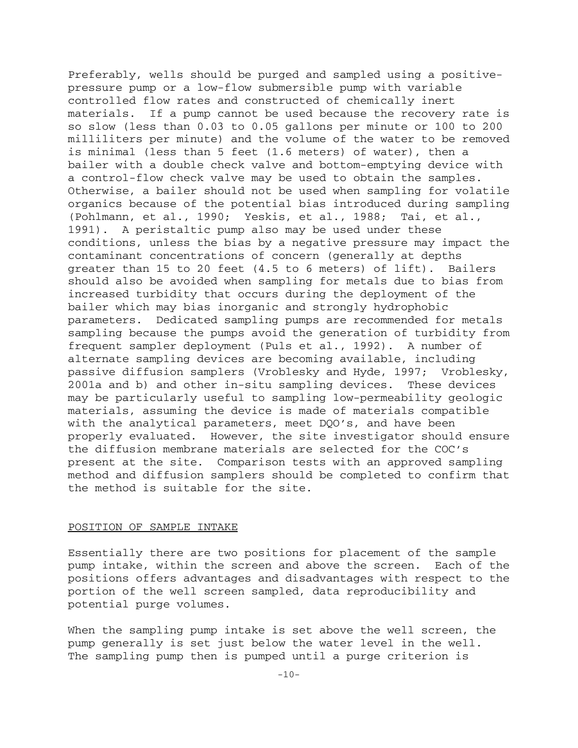Preferably, wells should be purged and sampled using a positivepressure pump or a low-flow submersible pump with variable controlled flow rates and constructed of chemically inert materials. If a pump cannot be used because the recovery rate is so slow (less than 0.03 to 0.05 gallons per minute or 100 to 200 milliliters per minute) and the volume of the water to be removed is minimal (less than 5 feet (1.6 meters) of water), then a bailer with a double check valve and bottom-emptying device with a control-flow check valve may be used to obtain the samples. Otherwise, a bailer should not be used when sampling for volatile organics because of the potential bias introduced during sampling (Pohlmann, et al., 1990; Yeskis, et al., 1988; Tai, et al., 1991). A peristaltic pump also may be used under these conditions, unless the bias by a negative pressure may impact the contaminant concentrations of concern (generally at depths greater than 15 to 20 feet (4.5 to 6 meters) of lift). Bailers should also be avoided when sampling for metals due to bias from increased turbidity that occurs during the deployment of the bailer which may bias inorganic and strongly hydrophobic parameters. Dedicated sampling pumps are recommended for metals sampling because the pumps avoid the generation of turbidity from frequent sampler deployment (Puls et al., 1992). A number of alternate sampling devices are becoming available, including passive diffusion samplers (Vroblesky and Hyde, 1997; Vroblesky, 2001a and b) and other in-situ sampling devices. These devices may be particularly useful to sampling low-permeability geologic materials, assuming the device is made of materials compatible with the analytical parameters, meet DQO's, and have been properly evaluated. However, the site investigator should ensure the diffusion membrane materials are selected for the COC's present at the site. Comparison tests with an approved sampling method and diffusion samplers should be completed to confirm that the method is suitable for the site.

#### POSITION OF SAMPLE INTAKE

Essentially there are two positions for placement of the sample pump intake, within the screen and above the screen. Each of the positions offers advantages and disadvantages with respect to the portion of the well screen sampled, data reproducibility and potential purge volumes.

When the sampling pump intake is set above the well screen, the pump generally is set just below the water level in the well. The sampling pump then is pumped until a purge criterion is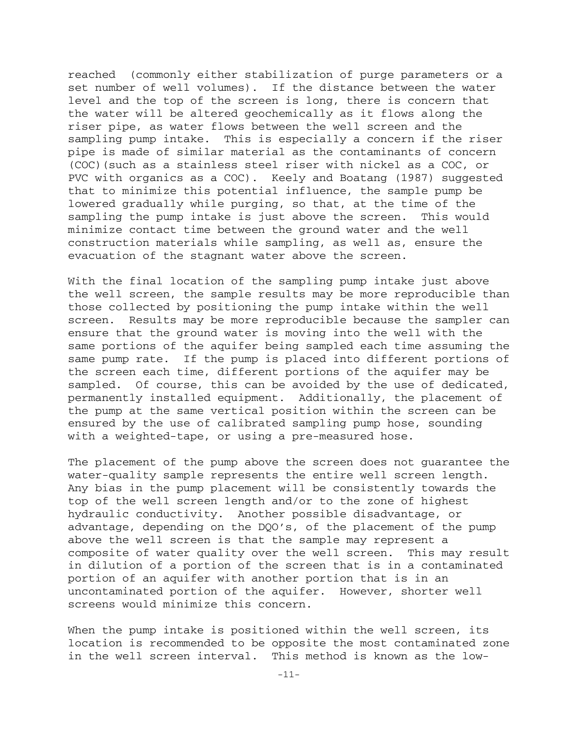reached (commonly either stabilization of purge parameters or a set number of well volumes). If the distance between the water level and the top of the screen is long, there is concern that the water will be altered geochemically as it flows along the riser pipe, as water flows between the well screen and the sampling pump intake. This is especially a concern if the riser pipe is made of similar material as the contaminants of concern (COC)(such as a stainless steel riser with nickel as a COC, or PVC with organics as a COC). Keely and Boatang (1987) suggested that to minimize this potential influence, the sample pump be lowered gradually while purging, so that, at the time of the sampling the pump intake is just above the screen. This would minimize contact time between the ground water and the well construction materials while sampling, as well as, ensure the evacuation of the stagnant water above the screen.

With the final location of the sampling pump intake just above the well screen, the sample results may be more reproducible than those collected by positioning the pump intake within the well screen. Results may be more reproducible because the sampler can ensure that the ground water is moving into the well with the same portions of the aquifer being sampled each time assuming the same pump rate. If the pump is placed into different portions of the screen each time, different portions of the aquifer may be sampled. Of course, this can be avoided by the use of dedicated, permanently installed equipment. Additionally, the placement of the pump at the same vertical position within the screen can be ensured by the use of calibrated sampling pump hose, sounding with a weighted-tape, or using a pre-measured hose.

The placement of the pump above the screen does not guarantee the water-quality sample represents the entire well screen length. Any bias in the pump placement will be consistently towards the top of the well screen length and/or to the zone of highest hydraulic conductivity. Another possible disadvantage, or advantage, depending on the DQO's, of the placement of the pump above the well screen is that the sample may represent a composite of water quality over the well screen. This may result in dilution of a portion of the screen that is in a contaminated portion of an aquifer with another portion that is in an uncontaminated portion of the aquifer. However, shorter well screens would minimize this concern.

When the pump intake is positioned within the well screen, its location is recommended to be opposite the most contaminated zone in the well screen interval. This method is known as the low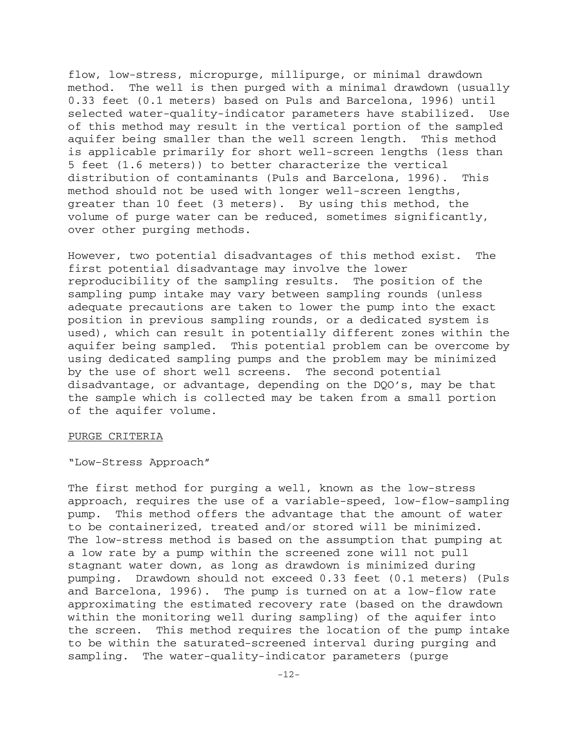flow, low-stress, micropurge, millipurge, or minimal drawdown method. The well is then purged with a minimal drawdown (usually 0.33 feet (0.1 meters) based on Puls and Barcelona, 1996) until selected water-quality-indicator parameters have stabilized. Use of this method may result in the vertical portion of the sampled aquifer being smaller than the well screen length. This method is applicable primarily for short well-screen lengths (less than 5 feet (1.6 meters)) to better characterize the vertical distribution of contaminants (Puls and Barcelona, 1996). This method should not be used with longer well-screen lengths, greater than 10 feet (3 meters). By using this method, the volume of purge water can be reduced, sometimes significantly, over other purging methods.

However, two potential disadvantages of this method exist. The first potential disadvantage may involve the lower reproducibility of the sampling results. The position of the sampling pump intake may vary between sampling rounds (unless adequate precautions are taken to lower the pump into the exact position in previous sampling rounds, or a dedicated system is used), which can result in potentially different zones within the aquifer being sampled. This potential problem can be overcome by using dedicated sampling pumps and the problem may be minimized by the use of short well screens. The second potential disadvantage, or advantage, depending on the DQO's, may be that the sample which is collected may be taken from a small portion of the aquifer volume.

#### PURGE CRITERIA

"Low-Stress Approach"

The first method for purging a well, known as the low-stress approach, requires the use of a variable-speed, low-flow-sampling pump. This method offers the advantage that the amount of water to be containerized, treated and/or stored will be minimized. The low-stress method is based on the assumption that pumping at a low rate by a pump within the screened zone will not pull stagnant water down, as long as drawdown is minimized during pumping. Drawdown should not exceed 0.33 feet (0.1 meters) (Puls and Barcelona, 1996). The pump is turned on at a low-flow rate approximating the estimated recovery rate (based on the drawdown within the monitoring well during sampling) of the aquifer into the screen. This method requires the location of the pump intake to be within the saturated-screened interval during purging and sampling. The water-quality-indicator parameters (purge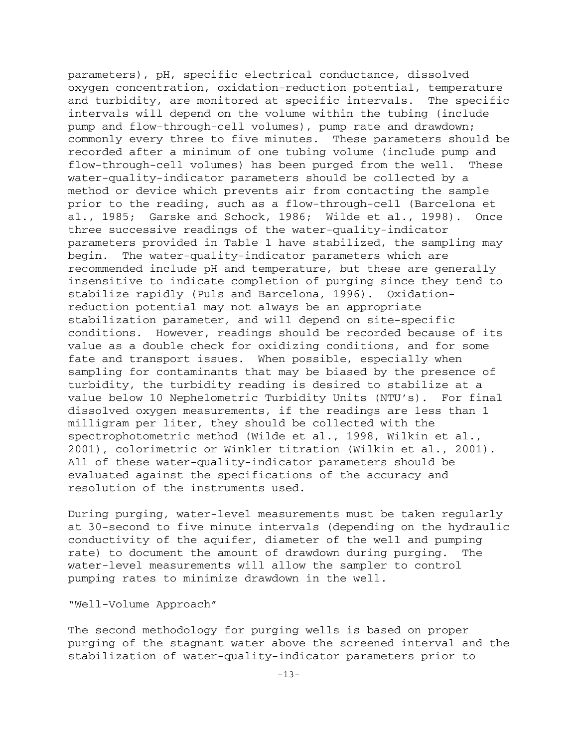parameters), pH, specific electrical conductance, dissolved oxygen concentration, oxidation-reduction potential, temperature and turbidity, are monitored at specific intervals. The specific intervals will depend on the volume within the tubing (include pump and flow-through-cell volumes), pump rate and drawdown; commonly every three to five minutes. These parameters should be recorded after a minimum of one tubing volume (include pump and flow-through-cell volumes) has been purged from the well. These water-quality-indicator parameters should be collected by a method or device which prevents air from contacting the sample prior to the reading, such as a flow-through-cell (Barcelona et al., 1985; Garske and Schock, 1986; Wilde et al., 1998). Once three successive readings of the water-quality-indicator parameters provided in Table 1 have stabilized, the sampling may begin. The water-quality-indicator parameters which are recommended include pH and temperature, but these are generally insensitive to indicate completion of purging since they tend to stabilize rapidly (Puls and Barcelona, 1996). Oxidationreduction potential may not always be an appropriate stabilization parameter, and will depend on site-specific conditions. However, readings should be recorded because of its value as a double check for oxidizing conditions, and for some fate and transport issues. When possible, especially when sampling for contaminants that may be biased by the presence of turbidity, the turbidity reading is desired to stabilize at a value below 10 Nephelometric Turbidity Units (NTU's). For final dissolved oxygen measurements, if the readings are less than 1 milligram per liter, they should be collected with the spectrophotometric method (Wilde et al., 1998, Wilkin et al., 2001), colorimetric or Winkler titration (Wilkin et al., 2001). All of these water-quality-indicator parameters should be evaluated against the specifications of the accuracy and resolution of the instruments used.

During purging, water-level measurements must be taken regularly at 30-second to five minute intervals (depending on the hydraulic conductivity of the aquifer, diameter of the well and pumping rate) to document the amount of drawdown during purging. The water-level measurements will allow the sampler to control pumping rates to minimize drawdown in the well.

"Well-Volume Approach"

The second methodology for purging wells is based on proper purging of the stagnant water above the screened interval and the stabilization of water-quality-indicator parameters prior to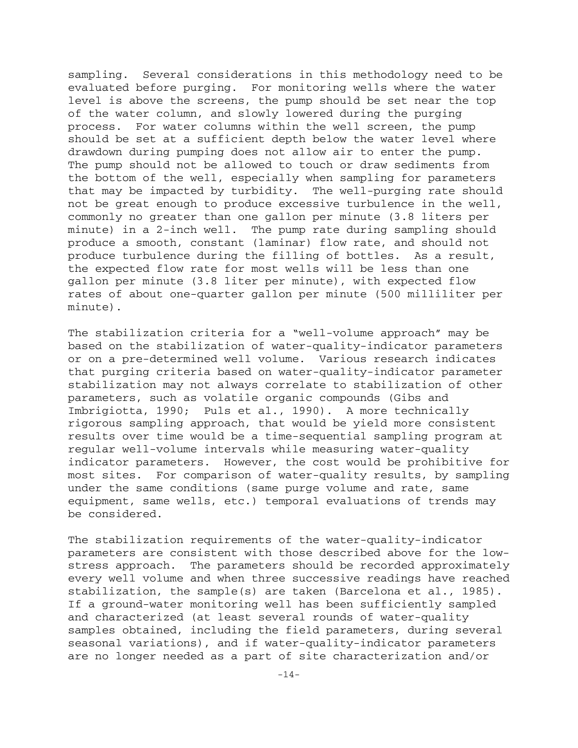sampling. Several considerations in this methodology need to be evaluated before purging. For monitoring wells where the water level is above the screens, the pump should be set near the top of the water column, and slowly lowered during the purging process. For water columns within the well screen, the pump should be set at a sufficient depth below the water level where drawdown during pumping does not allow air to enter the pump. The pump should not be allowed to touch or draw sediments from the bottom of the well, especially when sampling for parameters that may be impacted by turbidity. The well-purging rate should not be great enough to produce excessive turbulence in the well, commonly no greater than one gallon per minute (3.8 liters per minute) in a 2-inch well. The pump rate during sampling should produce a smooth, constant (laminar) flow rate, and should not produce turbulence during the filling of bottles. As a result, the expected flow rate for most wells will be less than one gallon per minute (3.8 liter per minute), with expected flow rates of about one-quarter gallon per minute (500 milliliter per minute).

The stabilization criteria for a "well-volume approach" may be based on the stabilization of water-quality-indicator parameters or on a pre-determined well volume. Various research indicates that purging criteria based on water-quality-indicator parameter stabilization may not always correlate to stabilization of other parameters, such as volatile organic compounds (Gibs and Imbrigiotta, 1990; Puls et al., 1990). A more technically rigorous sampling approach, that would be yield more consistent results over time would be a time-sequential sampling program at regular well-volume intervals while measuring water-quality indicator parameters. However, the cost would be prohibitive for most sites. For comparison of water-quality results, by sampling under the same conditions (same purge volume and rate, same equipment, same wells, etc.) temporal evaluations of trends may be considered.

The stabilization requirements of the water-quality-indicator parameters are consistent with those described above for the lowstress approach. The parameters should be recorded approximately every well volume and when three successive readings have reached stabilization, the sample(s) are taken (Barcelona et al., 1985). If a ground-water monitoring well has been sufficiently sampled and characterized (at least several rounds of water-quality samples obtained, including the field parameters, during several seasonal variations), and if water-quality-indicator parameters are no longer needed as a part of site characterization and/or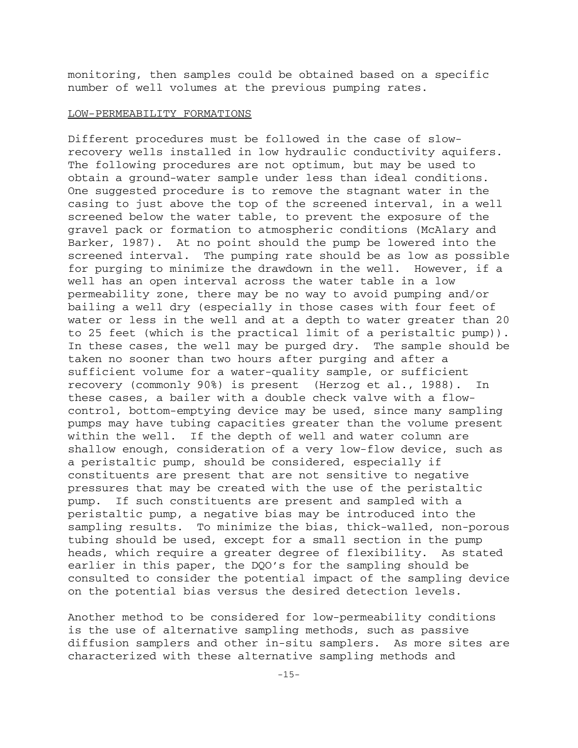monitoring, then samples could be obtained based on a specific number of well volumes at the previous pumping rates.

#### LOW-PERMEABILITY FORMATIONS

Different procedures must be followed in the case of slowrecovery wells installed in low hydraulic conductivity aquifers. The following procedures are not optimum, but may be used to obtain a ground-water sample under less than ideal conditions. One suggested procedure is to remove the stagnant water in the casing to just above the top of the screened interval, in a well screened below the water table, to prevent the exposure of the gravel pack or formation to atmospheric conditions (McAlary and Barker, 1987). At no point should the pump be lowered into the screened interval. The pumping rate should be as low as possible for purging to minimize the drawdown in the well. However, if a well has an open interval across the water table in a low permeability zone, there may be no way to avoid pumping and/or bailing a well dry (especially in those cases with four feet of water or less in the well and at a depth to water greater than 20 to 25 feet (which is the practical limit of a peristaltic pump)). In these cases, the well may be purged dry. The sample should be taken no sooner than two hours after purging and after a sufficient volume for a water-quality sample, or sufficient recovery (commonly 90%) is present (Herzog et al., 1988). In these cases, a bailer with a double check valve with a flowcontrol, bottom-emptying device may be used, since many sampling pumps may have tubing capacities greater than the volume present within the well. If the depth of well and water column are shallow enough, consideration of a very low-flow device, such as a peristaltic pump, should be considered, especially if constituents are present that are not sensitive to negative pressures that may be created with the use of the peristaltic pump. If such constituents are present and sampled with a peristaltic pump, a negative bias may be introduced into the sampling results. To minimize the bias, thick-walled, non-porous tubing should be used, except for a small section in the pump heads, which require a greater degree of flexibility. As stated earlier in this paper, the DQO's for the sampling should be consulted to consider the potential impact of the sampling device on the potential bias versus the desired detection levels.

Another method to be considered for low-permeability conditions is the use of alternative sampling methods, such as passive diffusion samplers and other in-situ samplers. As more sites are characterized with these alternative sampling methods and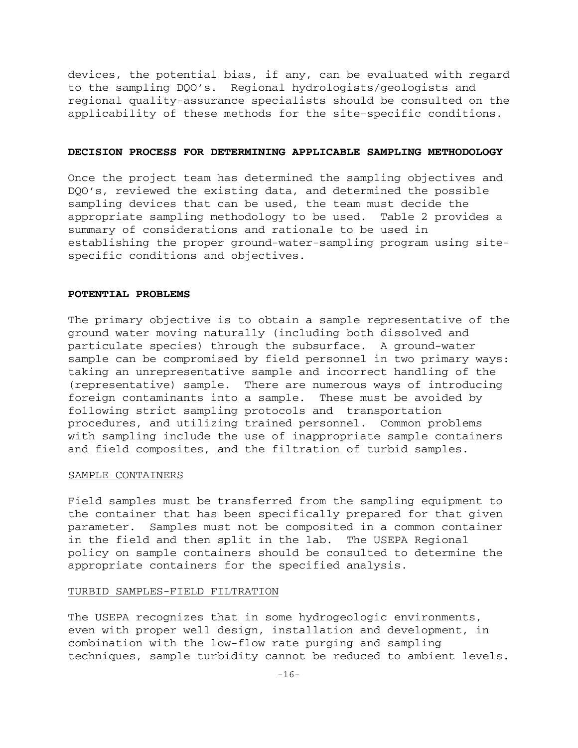devices, the potential bias, if any, can be evaluated with regard to the sampling DQO's. Regional hydrologists/geologists and regional quality-assurance specialists should be consulted on the applicability of these methods for the site-specific conditions.

#### **DECISION PROCESS FOR DETERMINING APPLICABLE SAMPLING METHODOLOGY**

Once the project team has determined the sampling objectives and DQO's, reviewed the existing data, and determined the possible sampling devices that can be used, the team must decide the appropriate sampling methodology to be used. Table 2 provides a summary of considerations and rationale to be used in establishing the proper ground-water-sampling program using sitespecific conditions and objectives.

#### **POTENTIAL PROBLEMS**

The primary objective is to obtain a sample representative of the ground water moving naturally (including both dissolved and particulate species) through the subsurface. A ground-water sample can be compromised by field personnel in two primary ways: taking an unrepresentative sample and incorrect handling of the (representative) sample. There are numerous ways of introducing foreign contaminants into a sample. These must be avoided by following strict sampling protocols and transportation procedures, and utilizing trained personnel. Common problems with sampling include the use of inappropriate sample containers and field composites, and the filtration of turbid samples.

#### SAMPLE CONTAINERS

Field samples must be transferred from the sampling equipment to the container that has been specifically prepared for that given parameter. Samples must not be composited in a common container in the field and then split in the lab. The USEPA Regional policy on sample containers should be consulted to determine the appropriate containers for the specified analysis.

#### TURBID SAMPLES-FIELD FILTRATION

The USEPA recognizes that in some hydrogeologic environments, even with proper well design, installation and development, in combination with the low-flow rate purging and sampling techniques, sample turbidity cannot be reduced to ambient levels.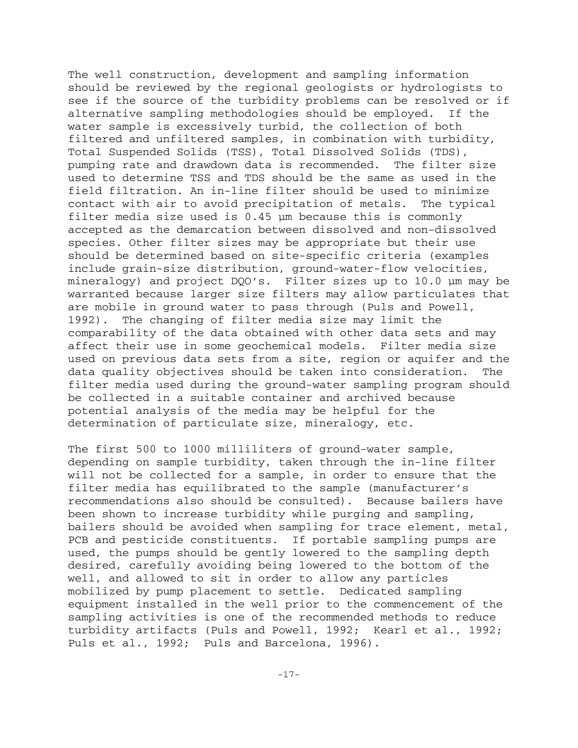The well construction, development and sampling information should be reviewed by the regional geologists or hydrologists to see if the source of the turbidity problems can be resolved or if alternative sampling methodologies should be employed. If the water sample is excessively turbid, the collection of both filtered and unfiltered samples, in combination with turbidity, Total Suspended Solids (TSS), Total Dissolved Solids (TDS), pumping rate and drawdown data is recommended. The filter size used to determine TSS and TDS should be the same as used in the field filtration. An in-line filter should be used to minimize contact with air to avoid precipitation of metals. The typical filter media size used is 0.45 µm because this is commonly accepted as the demarcation between dissolved and non-dissolved species. Other filter sizes may be appropriate but their use should be determined based on site-specific criteria (examples include grain-size distribution, ground-water-flow velocities, mineralogy) and project DQO's. Filter sizes up to 10.0 µm may be warranted because larger size filters may allow particulates that are mobile in ground water to pass through (Puls and Powell, 1992). The changing of filter media size may limit the comparability of the data obtained with other data sets and may affect their use in some geochemical models. Filter media size used on previous data sets from a site, region or aquifer and the data quality objectives should be taken into consideration. The filter media used during the ground-water sampling program should be collected in a suitable container and archived because potential analysis of the media may be helpful for the determination of particulate size, mineralogy, etc.

The first 500 to 1000 milliliters of ground-water sample, depending on sample turbidity, taken through the in-line filter will not be collected for a sample, in order to ensure that the filter media has equilibrated to the sample (manufacturer's recommendations also should be consulted). Because bailers have been shown to increase turbidity while purging and sampling, bailers should be avoided when sampling for trace element, metal, PCB and pesticide constituents. If portable sampling pumps are used, the pumps should be gently lowered to the sampling depth desired, carefully avoiding being lowered to the bottom of the well, and allowed to sit in order to allow any particles mobilized by pump placement to settle. Dedicated sampling equipment installed in the well prior to the commencement of the sampling activities is one of the recommended methods to reduce turbidity artifacts (Puls and Powell, 1992; Kearl et al., 1992; Puls et al., 1992; Puls and Barcelona, 1996).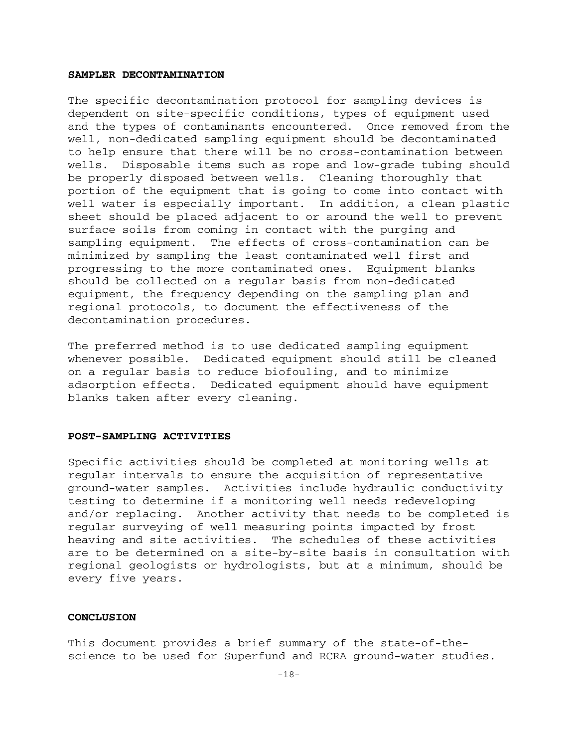#### **SAMPLER DECONTAMINATION**

The specific decontamination protocol for sampling devices is dependent on site-specific conditions, types of equipment used and the types of contaminants encountered. Once removed from the well, non-dedicated sampling equipment should be decontaminated to help ensure that there will be no cross-contamination between wells. Disposable items such as rope and low-grade tubing should be properly disposed between wells. Cleaning thoroughly that portion of the equipment that is going to come into contact with well water is especially important. In addition, a clean plastic sheet should be placed adjacent to or around the well to prevent surface soils from coming in contact with the purging and sampling equipment. The effects of cross-contamination can be minimized by sampling the least contaminated well first and progressing to the more contaminated ones. Equipment blanks should be collected on a regular basis from non-dedicated equipment, the frequency depending on the sampling plan and regional protocols, to document the effectiveness of the decontamination procedures.

The preferred method is to use dedicated sampling equipment whenever possible. Dedicated equipment should still be cleaned on a regular basis to reduce biofouling, and to minimize adsorption effects. Dedicated equipment should have equipment blanks taken after every cleaning.

#### **POST-SAMPLING ACTIVITIES**

Specific activities should be completed at monitoring wells at regular intervals to ensure the acquisition of representative ground-water samples. Activities include hydraulic conductivity testing to determine if a monitoring well needs redeveloping and/or replacing. Another activity that needs to be completed is regular surveying of well measuring points impacted by frost heaving and site activities. The schedules of these activities are to be determined on a site-by-site basis in consultation with regional geologists or hydrologists, but at a minimum, should be every five years.

#### **CONCLUSION**

This document provides a brief summary of the state-of-thescience to be used for Superfund and RCRA ground-water studies.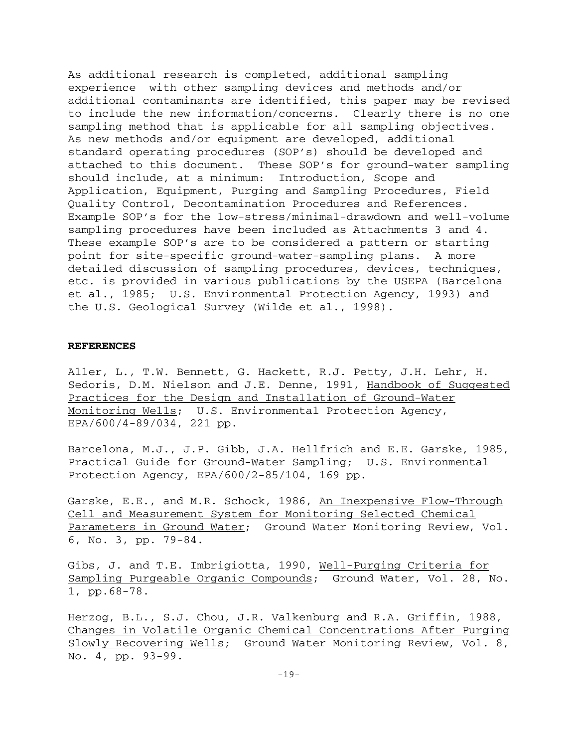As additional research is completed, additional sampling experience with other sampling devices and methods and/or additional contaminants are identified, this paper may be revised to include the new information/concerns. Clearly there is no one sampling method that is applicable for all sampling objectives. As new methods and/or equipment are developed, additional standard operating procedures (SOP's) should be developed and attached to this document. These SOP's for ground-water sampling should include, at a minimum: Introduction, Scope and Application, Equipment, Purging and Sampling Procedures, Field Quality Control, Decontamination Procedures and References. Example SOP's for the low-stress/minimal-drawdown and well-volume sampling procedures have been included as Attachments 3 and 4. These example SOP's are to be considered a pattern or starting point for site-specific ground-water-sampling plans. A more detailed discussion of sampling procedures, devices, techniques, etc. is provided in various publications by the USEPA (Barcelona et al., 1985; U.S. Environmental Protection Agency, 1993) and the U.S. Geological Survey (Wilde et al., 1998).

#### **REFERENCES**

Aller, L., T.W. Bennett, G. Hackett, R.J. Petty, J.H. Lehr, H. Sedoris, D.M. Nielson and J.E. Denne, 1991, Handbook of Suggested Practices for the Design and Installation of Ground-Water Monitoring Wells; U.S. Environmental Protection Agency, EPA/600/4-89/034, 221 pp.

Barcelona, M.J., J.P. Gibb, J.A. Hellfrich and E.E. Garske, 1985, Practical Guide for Ground-Water Sampling; U.S. Environmental Protection Agency, EPA/600/2-85/104, 169 pp.

Garske, E.E., and M.R. Schock, 1986, An Inexpensive Flow-Through Cell and Measurement System for Monitoring Selected Chemical Parameters in Ground Water; Ground Water Monitoring Review, Vol. 6, No. 3, pp. 79-84.

Gibs, J. and T.E. Imbrigiotta, 1990, Well-Purging Criteria for Sampling Purgeable Organic Compounds; Ground Water, Vol. 28, No. 1, pp.68-78.

Herzog, B.L., S.J. Chou, J.R. Valkenburg and R.A. Griffin, 1988, Changes in Volatile Organic Chemical Concentrations After Purging Slowly Recovering Wells; Ground Water Monitoring Review, Vol. 8, No. 4, pp. 93-99.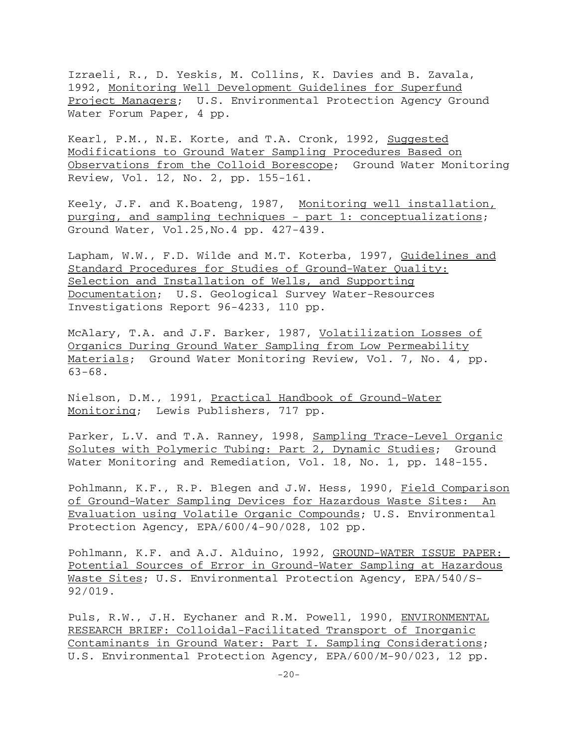Izraeli, R., D. Yeskis, M. Collins, K. Davies and B. Zavala, 1992, Monitoring Well Development Guidelines for Superfund Project Managers; U.S. Environmental Protection Agency Ground Water Forum Paper, 4 pp.

Kearl, P.M., N.E. Korte, and T.A. Cronk, 1992, Suggested Modifications to Ground Water Sampling Procedures Based on Observations from the Colloid Borescope; Ground Water Monitoring Review, Vol. 12, No. 2, pp. 155-161.

Keely, J.F. and K.Boateng, 1987, Monitoring well installation, purging, and sampling techniques - part 1: conceptualizations; Ground Water, Vol.25,No.4 pp. 427-439.

Lapham, W.W., F.D. Wilde and M.T. Koterba, 1997, Guidelines and Standard Procedures for Studies of Ground-Water Quality: Selection and Installation of Wells, and Supporting Documentation; U.S. Geological Survey Water-Resources Investigations Report 96-4233, 110 pp.

McAlary, T.A. and J.F. Barker, 1987, Volatilization Losses of Organics During Ground Water Sampling from Low Permeability Materials; Ground Water Monitoring Review, Vol. 7, No. 4, pp.  $63 - 68$ .

Nielson, D.M., 1991, Practical Handbook of Ground-Water Monitoring; Lewis Publishers, 717 pp.

Parker, L.V. and T.A. Ranney, 1998, Sampling Trace-Level Organic Solutes with Polymeric Tubing: Part 2, Dynamic Studies; Ground Water Monitoring and Remediation, Vol. 18, No. 1, pp. 148-155.

Pohlmann, K.F., R.P. Blegen and J.W. Hess, 1990, Field Comparison of Ground-Water Sampling Devices for Hazardous Waste Sites: An Evaluation using Volatile Organic Compounds; U.S. Environmental Protection Agency, EPA/600/4-90/028, 102 pp.

Pohlmann, K.F. and A.J. Alduino, 1992, GROUND-WATER ISSUE PAPER: Potential Sources of Error in Ground-Water Sampling at Hazardous Waste Sites; U.S. Environmental Protection Agency, EPA/540/S-92/019.

Puls, R.W., J.H. Eychaner and R.M. Powell, 1990, ENVIRONMENTAL RESEARCH BRIEF: Colloidal-Facilitated Transport of Inorganic Contaminants in Ground Water: Part I. Sampling Considerations; U.S. Environmental Protection Agency, EPA/600/M-90/023, 12 pp.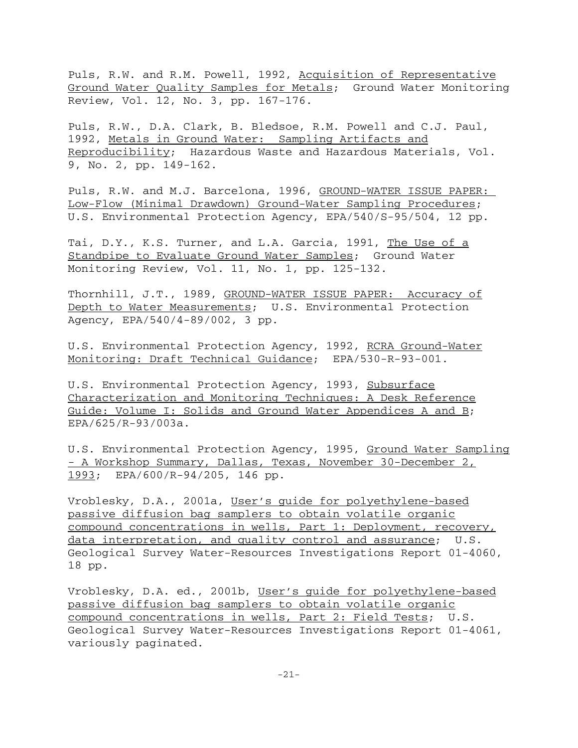Puls, R.W. and R.M. Powell, 1992, Acquisition of Representative Ground Water Quality Samples for Metals; Ground Water Monitoring Review, Vol. 12, No. 3, pp. 167-176.

Puls, R.W., D.A. Clark, B. Bledsoe, R.M. Powell and C.J. Paul, 1992, Metals in Ground Water: Sampling Artifacts and Reproducibility; Hazardous Waste and Hazardous Materials, Vol. 9, No. 2, pp. 149-162.

Puls, R.W. and M.J. Barcelona, 1996, GROUND-WATER ISSUE PAPER: Low-Flow (Minimal Drawdown) Ground-Water Sampling Procedures; U.S. Environmental Protection Agency, EPA/540/S-95/504, 12 pp.

Tai, D.Y., K.S. Turner, and L.A. Garcia, 1991, The Use of a Standpipe to Evaluate Ground Water Samples; Ground Water Monitoring Review, Vol. 11, No. 1, pp. 125-132.

Thornhill, J.T., 1989, GROUND-WATER ISSUE PAPER: Accuracy of Depth to Water Measurements; U.S. Environmental Protection Agency, EPA/540/4-89/002, 3 pp.

U.S. Environmental Protection Agency, 1992, RCRA Ground-Water Monitoring: Draft Technical Guidance; EPA/530-R-93-001.

U.S. Environmental Protection Agency, 1993, Subsurface Characterization and Monitoring Techniques: A Desk Reference Guide: Volume I: Solids and Ground Water Appendices A and B; EPA/625/R-93/003a.

U.S. Environmental Protection Agency, 1995, Ground Water Sampling - A Workshop Summary, Dallas, Texas, November 30-December 2, 1993; EPA/600/R-94/205, 146 pp.

Vroblesky, D.A., 2001a, User's guide for polyethylene-based passive diffusion bag samplers to obtain volatile organic compound concentrations in wells, Part 1: Deployment, recovery, data interpretation, and quality control and assurance; U.S. Geological Survey Water-Resources Investigations Report 01-4060, 18 pp.

Vroblesky, D.A. ed., 2001b, User's guide for polyethylene-based passive diffusion bag samplers to obtain volatile organic compound concentrations in wells, Part 2: Field Tests; U.S. Geological Survey Water-Resources Investigations Report 01-4061, variously paginated.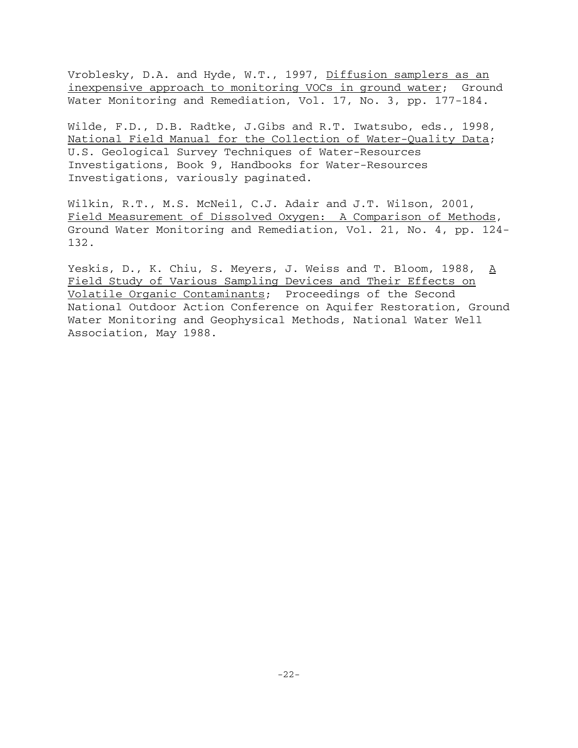Vroblesky, D.A. and Hyde, W.T., 1997, Diffusion samplers as an inexpensive approach to monitoring VOCs in ground water; Ground Water Monitoring and Remediation, Vol. 17, No. 3, pp. 177-184.

Wilde, F.D., D.B. Radtke, J.Gibs and R.T. Iwatsubo, eds., 1998, National Field Manual for the Collection of Water-Quality Data; U.S. Geological Survey Techniques of Water-Resources Investigations, Book 9, Handbooks for Water-Resources Investigations, variously paginated.

Wilkin, R.T., M.S. McNeil, C.J. Adair and J.T. Wilson, 2001, Field Measurement of Dissolved Oxygen: A Comparison of Methods, Ground Water Monitoring and Remediation, Vol. 21, No. 4, pp. 124 132.

Yeskis, D., K. Chiu, S. Meyers, J. Weiss and T. Bloom, 1988, A Field Study of Various Sampling Devices and Their Effects on Volatile Organic Contaminants; Proceedings of the Second National Outdoor Action Conference on Aquifer Restoration, Ground Water Monitoring and Geophysical Methods, National Water Well Association, May 1988.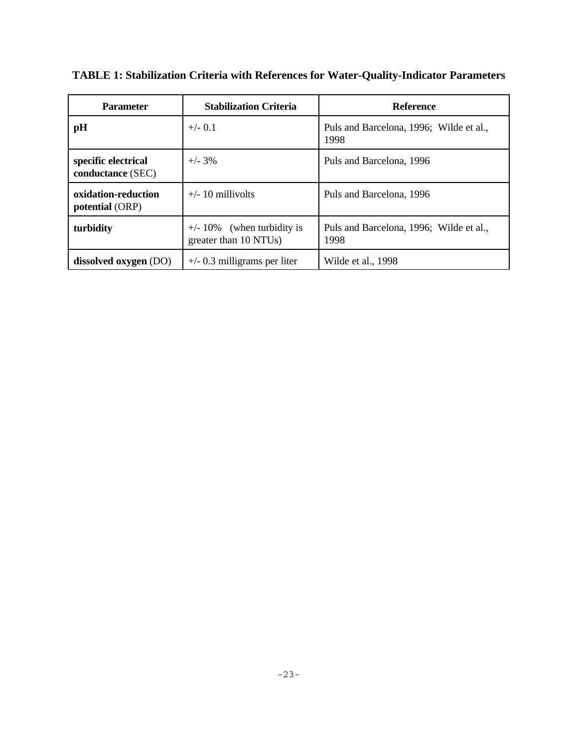| <b>Parameter</b>                         | <b>Stabilization Criteria</b>                          | <b>Reference</b>                                |
|------------------------------------------|--------------------------------------------------------|-------------------------------------------------|
| pH                                       | $+/-$ 0.1                                              | Puls and Barcelona, 1996; Wilde et al.,<br>1998 |
| specific electrical<br>conductance (SEC) | $+/- 3\%$                                              | Puls and Barcelona, 1996                        |
| oxidation-reduction<br>potential (ORP)   | $+/- 10$ millivolts                                    | Puls and Barcelona, 1996                        |
| turbidity                                | $+/- 10\%$ (when turbidity is<br>greater than 10 NTUs) | Puls and Barcelona, 1996; Wilde et al.,<br>1998 |
| dissolved oxygen (DO)                    | $+\prime$ - 0.3 milligrams per liter                   | Wilde et al., 1998                              |

**TABLE 1: Stabilization Criteria with References for Water-Quality-Indicator Parameters**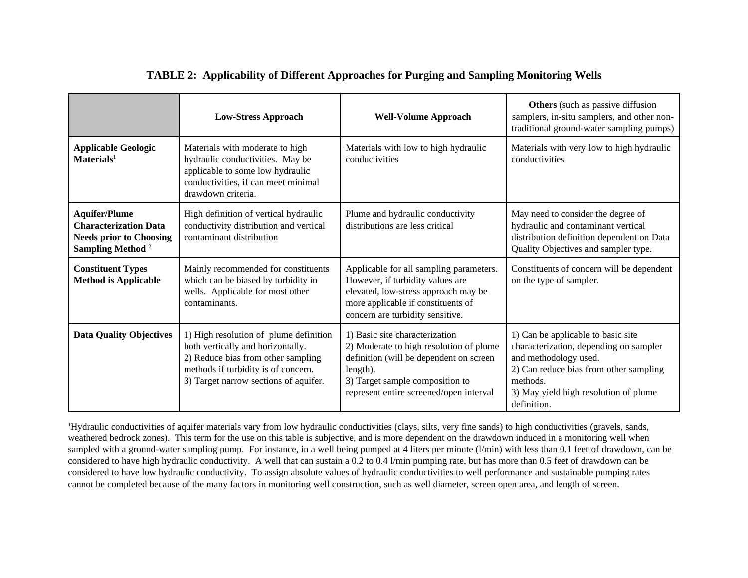|                                                                                                                        | <b>Low-Stress Approach</b>                                                                                                                                                                        | <b>Well-Volume Approach</b>                                                                                                                                                                                    | <b>Others</b> (such as passive diffusion<br>samplers, in-situ samplers, and other non-<br>traditional ground-water sampling pumps)                                                                                  |
|------------------------------------------------------------------------------------------------------------------------|---------------------------------------------------------------------------------------------------------------------------------------------------------------------------------------------------|----------------------------------------------------------------------------------------------------------------------------------------------------------------------------------------------------------------|---------------------------------------------------------------------------------------------------------------------------------------------------------------------------------------------------------------------|
| <b>Applicable Geologic</b><br>$Materials1$                                                                             | Materials with moderate to high<br>hydraulic conductivities. May be<br>applicable to some low hydraulic<br>conductivities, if can meet minimal<br>drawdown criteria.                              | Materials with low to high hydraulic<br>conductivities                                                                                                                                                         | Materials with very low to high hydraulic<br>conductivities                                                                                                                                                         |
| <b>Aquifer/Plume</b><br><b>Characterization Data</b><br><b>Needs prior to Choosing</b><br>Sampling Method <sup>2</sup> | High definition of vertical hydraulic<br>conductivity distribution and vertical<br>contaminant distribution                                                                                       | Plume and hydraulic conductivity<br>distributions are less critical                                                                                                                                            | May need to consider the degree of<br>hydraulic and contaminant vertical<br>distribution definition dependent on Data<br>Quality Objectives and sampler type.                                                       |
| <b>Constituent Types</b><br><b>Method is Applicable</b>                                                                | Mainly recommended for constituents<br>which can be biased by turbidity in<br>wells. Applicable for most other<br>contaminants.                                                                   | Applicable for all sampling parameters.<br>However, if turbidity values are<br>elevated, low-stress approach may be<br>more applicable if constituents of<br>concern are turbidity sensitive.                  | Constituents of concern will be dependent<br>on the type of sampler.                                                                                                                                                |
| <b>Data Quality Objectives</b>                                                                                         | 1) High resolution of plume definition<br>both vertically and horizontally.<br>2) Reduce bias from other sampling<br>methods if turbidity is of concern.<br>3) Target narrow sections of aquifer. | 1) Basic site characterization<br>2) Moderate to high resolution of plume<br>definition (will be dependent on screen<br>length).<br>3) Target sample composition to<br>represent entire screened/open interval | 1) Can be applicable to basic site<br>characterization, depending on sampler<br>and methodology used.<br>2) Can reduce bias from other sampling<br>methods.<br>3) May yield high resolution of plume<br>definition. |

### **TABLE 2: Applicability of Different Approaches for Purging and Sampling Monitoring Wells**

<sup>1</sup>Hydraulic conductivities of aquifer materials vary from low hydraulic conductivities (clays, silts, very fine sands) to high conductivities (gravels, sands, weathered bedrock zones). This term for the use on this table is subjective, and is more dependent on the drawdown induced in a monitoring well when sampled with a ground-water sampling pump. For instance, in a well being pumped at 4 liters per minute (l/min) with less than 0.1 feet of drawdown, can be considered to have high hydraulic conductivity. A well that can sustain a 0.2 to 0.4 l/min pumping rate, but has more than 0.5 feet of drawdown can be considered to have low hydraulic conductivity. To assign absolute values of hydraulic conductivities to well performance and sustainable pumping rates cannot be completed because of the many factors in monitoring well construction, such as well diameter, screen open area, and length of screen.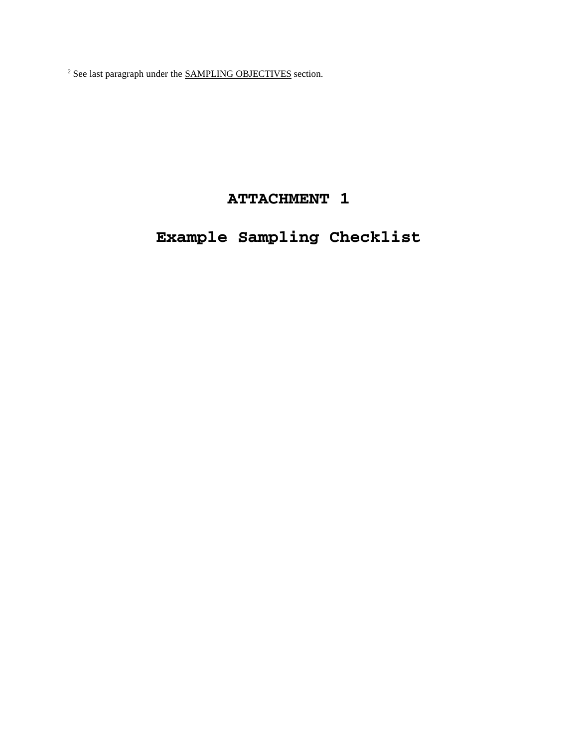$2^2$  See last paragraph under the **SAMPLING OBJECTIVES** section.

## **ATTACHMENT 1**

# **Example Sampling Checklist**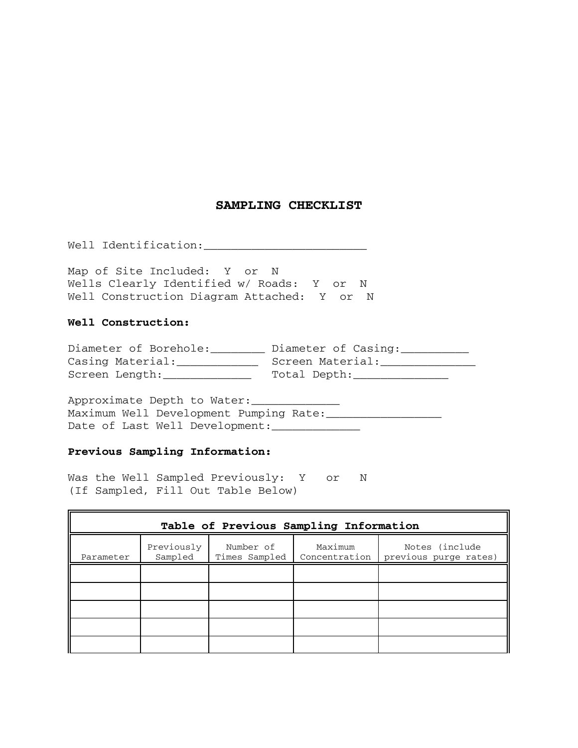### **SAMPLING CHECKLIST**

Well Identification:\_\_\_\_\_\_\_\_\_\_\_\_\_\_\_\_\_\_\_\_\_\_\_\_

Map of Site Included: Y or N Wells Clearly Identified w/ Roads: Y or N Well Construction Diagram Attached: Y or N

#### **Well Construction:**

| Diameter of Borehole: | Diameter of Casing: |
|-----------------------|---------------------|
| Casing Material:      | Screen Material:    |
| Screen Length:        | Total Depth:        |

Approximate Depth to Water: Maximum Well Development Pumping Rate:\_\_\_\_\_\_\_\_\_\_\_\_\_\_\_\_\_ Date of Last Well Development:

#### **Previous Sampling Information:**

 Was the Well Sampled Previously: Y or N (If Sampled, Fill Out Table Below)

| Table of Previous Sampling Information |                       |                            |         |                                                         |  |  |  |
|----------------------------------------|-----------------------|----------------------------|---------|---------------------------------------------------------|--|--|--|
| Parameter                              | Previously<br>Sampled | Number of<br>Times Sampled | Maximum | Notes (include<br>Concentration   previous purge rates) |  |  |  |
|                                        |                       |                            |         |                                                         |  |  |  |
|                                        |                       |                            |         |                                                         |  |  |  |
|                                        |                       |                            |         |                                                         |  |  |  |
|                                        |                       |                            |         |                                                         |  |  |  |
|                                        |                       |                            |         |                                                         |  |  |  |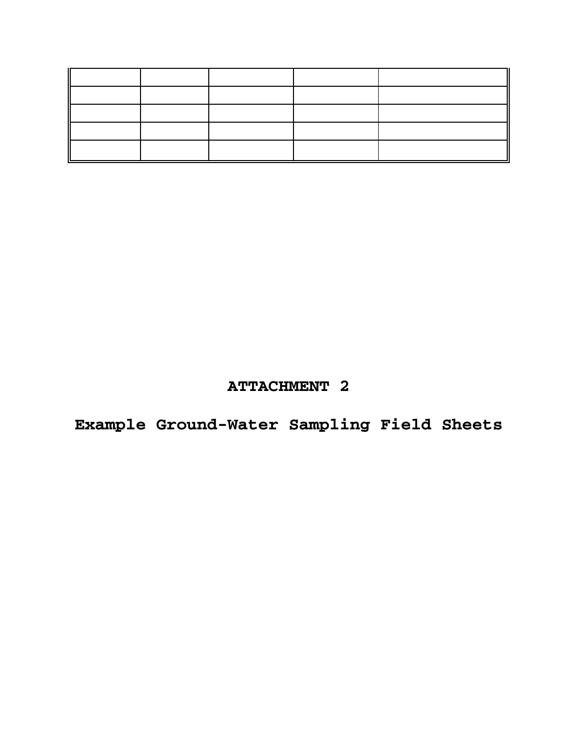## **ATTACHMENT 2**

**Example Ground-Water Sampling Field Sheets**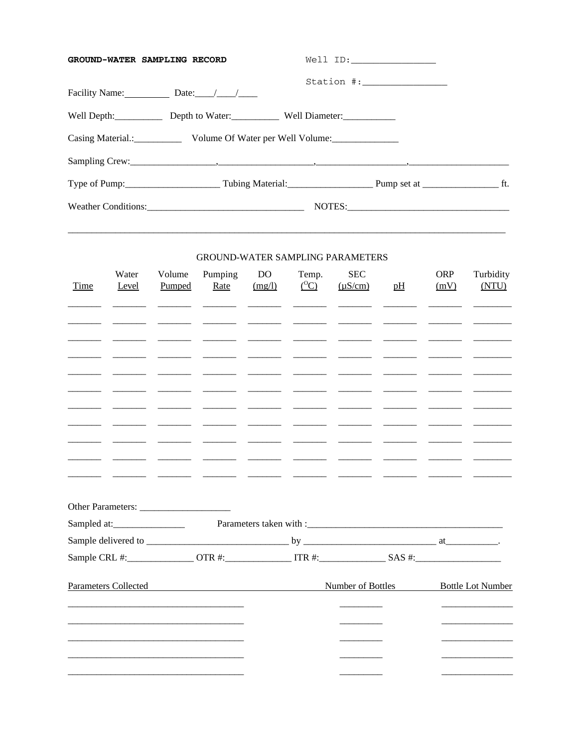| GROUND-WATER SAMPLING RECORD |                                            | Well ID:                                                                               |  |
|------------------------------|--------------------------------------------|----------------------------------------------------------------------------------------|--|
|                              |                                            | $\begin{minipage}{0.9\linewidth} \texttt{Station} & \texttt{#:}\xspace \end{minipage}$ |  |
|                              | Well Depth: Depth to Water: Well Diameter: |                                                                                        |  |
|                              |                                            |                                                                                        |  |
|                              |                                            |                                                                                        |  |
|                              |                                            |                                                                                        |  |
|                              |                                            |                                                                                        |  |

#### GROUND-WATER SAMPLING PARAMETERS

| Time | Water<br>Level           | Volume<br>Pumped         | Pumping<br>Rate                                                     | <b>DO</b><br>(mg/l)                                                                                                                                                                                                                                                                                                                                                                                                                                                           | Temp.<br>$({}^{0}C)$                                                                                                                                                                                                                                                                                                                                                                                                                                                                        | <b>SEC</b><br>$(\mu S/cm)$                                                                                                                                                                                                                                                                                                                                                                                                                                                    | pH      | <b>ORP</b><br>(mV)       | Turbidity<br>(NTU)       |
|------|--------------------------|--------------------------|---------------------------------------------------------------------|-------------------------------------------------------------------------------------------------------------------------------------------------------------------------------------------------------------------------------------------------------------------------------------------------------------------------------------------------------------------------------------------------------------------------------------------------------------------------------|---------------------------------------------------------------------------------------------------------------------------------------------------------------------------------------------------------------------------------------------------------------------------------------------------------------------------------------------------------------------------------------------------------------------------------------------------------------------------------------------|-------------------------------------------------------------------------------------------------------------------------------------------------------------------------------------------------------------------------------------------------------------------------------------------------------------------------------------------------------------------------------------------------------------------------------------------------------------------------------|---------|--------------------------|--------------------------|
|      |                          |                          | $\overline{\phantom{a}}$                                            | $\overline{\phantom{a}}$                                                                                                                                                                                                                                                                                                                                                                                                                                                      |                                                                                                                                                                                                                                                                                                                                                                                                                                                                                             |                                                                                                                                                                                                                                                                                                                                                                                                                                                                               |         |                          |                          |
|      |                          |                          |                                                                     |                                                                                                                                                                                                                                                                                                                                                                                                                                                                               |                                                                                                                                                                                                                                                                                                                                                                                                                                                                                             |                                                                                                                                                                                                                                                                                                                                                                                                                                                                               |         |                          |                          |
|      |                          |                          |                                                                     |                                                                                                                                                                                                                                                                                                                                                                                                                                                                               |                                                                                                                                                                                                                                                                                                                                                                                                                                                                                             | $\frac{1}{2}$                                                                                                                                                                                                                                                                                                                                                                                                                                                                 |         |                          |                          |
|      |                          |                          | $\overline{\phantom{a}}$                                            | ____________                                                                                                                                                                                                                                                                                                                                                                                                                                                                  | $\begin{tabular}{cccccc} \multicolumn{2}{c} {\textbf{1}} & \multicolumn{2}{c} {\textbf{2}} & \multicolumn{2}{c} {\textbf{3}} & \multicolumn{2}{c} {\textbf{4}} & \multicolumn{2}{c} {\textbf{5}} & \multicolumn{2}{c} {\textbf{6}} & \multicolumn{2}{c} {\textbf{7}} & \multicolumn{2}{c} {\textbf{8}} & \multicolumn{2}{c} {\textbf{9}} & \multicolumn{2}{c} {\textbf{1}} & \multicolumn{2}{c} {\textbf{1}} & \multicolumn{2}{c} {\textbf{1}} & \multicolumn{2}{c} {\textbf{1}} & \multic$ |                                                                                                                                                                                                                                                                                                                                                                                                                                                                               |         | $\overline{\phantom{a}}$ |                          |
|      |                          |                          | $\overline{\phantom{a}}$ . The contract of $\overline{\phantom{a}}$ | $\overline{\phantom{a}}$ and $\overline{\phantom{a}}$ and $\overline{\phantom{a}}$                                                                                                                                                                                                                                                                                                                                                                                            | $\frac{1}{2} \left( \frac{1}{2} \right) \left( \frac{1}{2} \right) \left( \frac{1}{2} \right) \left( \frac{1}{2} \right) \left( \frac{1}{2} \right) \left( \frac{1}{2} \right) \left( \frac{1}{2} \right) \left( \frac{1}{2} \right) \left( \frac{1}{2} \right) \left( \frac{1}{2} \right) \left( \frac{1}{2} \right) \left( \frac{1}{2} \right) \left( \frac{1}{2} \right) \left( \frac{1}{2} \right) \left( \frac{1}{2} \right) \left( \frac{1}{2} \right) \left( \frac$                  |                                                                                                                                                                                                                                                                                                                                                                                                                                                                               |         |                          |                          |
|      | $\overline{\phantom{a}}$ | $\overline{\phantom{a}}$ | $\overline{\phantom{a}}$                                            | $\begin{tabular}{cccccc} \multicolumn{2}{c} {\textbf{1} } & \multicolumn{2}{c} {\textbf{2} } & \multicolumn{2}{c} {\textbf{3} } & \multicolumn{2}{c} {\textbf{4} } & \multicolumn{2}{c} {\textbf{5} } & \multicolumn{2}{c} {\textbf{6} } & \multicolumn{2}{c} {\textbf{7} } & \multicolumn{2}{c} {\textbf{8} } & \multicolumn{2}{c} {\textbf{9} } & \multicolumn{2}{c} {\textbf{10} } & \multicolumn{2}{c} {\textbf{11} } & \multicolumn{2}{c} {\textbf{12} } & \multicolumn$ | $\overline{\phantom{a}}$                                                                                                                                                                                                                                                                                                                                                                                                                                                                    | $\begin{tabular}{cccccc} \multicolumn{2}{c} {\textbf{1} } & \multicolumn{2}{c} {\textbf{2} } & \multicolumn{2}{c} {\textbf{3} } & \multicolumn{2}{c} {\textbf{4} } & \multicolumn{2}{c} {\textbf{5} } & \multicolumn{2}{c} {\textbf{6} } & \multicolumn{2}{c} {\textbf{7} } & \multicolumn{2}{c} {\textbf{8} } & \multicolumn{2}{c} {\textbf{9} } & \multicolumn{2}{c} {\textbf{10} } & \multicolumn{2}{c} {\textbf{11} } & \multicolumn{2}{c} {\textbf{12} } & \multicolumn$ | _______ | $\overline{\phantom{a}}$ |                          |
|      |                          |                          |                                                                     |                                                                                                                                                                                                                                                                                                                                                                                                                                                                               |                                                                                                                                                                                                                                                                                                                                                                                                                                                                                             |                                                                                                                                                                                                                                                                                                                                                                                                                                                                               |         |                          |                          |
|      |                          |                          |                                                                     |                                                                                                                                                                                                                                                                                                                                                                                                                                                                               |                                                                                                                                                                                                                                                                                                                                                                                                                                                                                             |                                                                                                                                                                                                                                                                                                                                                                                                                                                                               |         |                          |                          |
|      |                          |                          |                                                                     |                                                                                                                                                                                                                                                                                                                                                                                                                                                                               |                                                                                                                                                                                                                                                                                                                                                                                                                                                                                             |                                                                                                                                                                                                                                                                                                                                                                                                                                                                               |         |                          |                          |
|      |                          |                          |                                                                     |                                                                                                                                                                                                                                                                                                                                                                                                                                                                               |                                                                                                                                                                                                                                                                                                                                                                                                                                                                                             |                                                                                                                                                                                                                                                                                                                                                                                                                                                                               |         |                          |                          |
|      |                          |                          |                                                                     |                                                                                                                                                                                                                                                                                                                                                                                                                                                                               |                                                                                                                                                                                                                                                                                                                                                                                                                                                                                             |                                                                                                                                                                                                                                                                                                                                                                                                                                                                               |         |                          |                          |
|      |                          |                          |                                                                     |                                                                                                                                                                                                                                                                                                                                                                                                                                                                               |                                                                                                                                                                                                                                                                                                                                                                                                                                                                                             | Sample CRL #: ________________OTR #: _______________ITR #: ____________________SAS #: ________________________                                                                                                                                                                                                                                                                                                                                                                |         |                          |                          |
|      | Parameters Collected     |                          | <u> 1980 - Johann Stein, fransk politik (d. 1980)</u>               |                                                                                                                                                                                                                                                                                                                                                                                                                                                                               |                                                                                                                                                                                                                                                                                                                                                                                                                                                                                             | Number of Bottles                                                                                                                                                                                                                                                                                                                                                                                                                                                             |         |                          | <b>Bottle Lot Number</b> |
|      |                          |                          |                                                                     |                                                                                                                                                                                                                                                                                                                                                                                                                                                                               |                                                                                                                                                                                                                                                                                                                                                                                                                                                                                             |                                                                                                                                                                                                                                                                                                                                                                                                                                                                               |         |                          |                          |
|      |                          |                          |                                                                     |                                                                                                                                                                                                                                                                                                                                                                                                                                                                               |                                                                                                                                                                                                                                                                                                                                                                                                                                                                                             |                                                                                                                                                                                                                                                                                                                                                                                                                                                                               |         |                          |                          |
|      |                          |                          |                                                                     |                                                                                                                                                                                                                                                                                                                                                                                                                                                                               |                                                                                                                                                                                                                                                                                                                                                                                                                                                                                             |                                                                                                                                                                                                                                                                                                                                                                                                                                                                               |         |                          |                          |
|      |                          |                          |                                                                     |                                                                                                                                                                                                                                                                                                                                                                                                                                                                               |                                                                                                                                                                                                                                                                                                                                                                                                                                                                                             |                                                                                                                                                                                                                                                                                                                                                                                                                                                                               |         |                          |                          |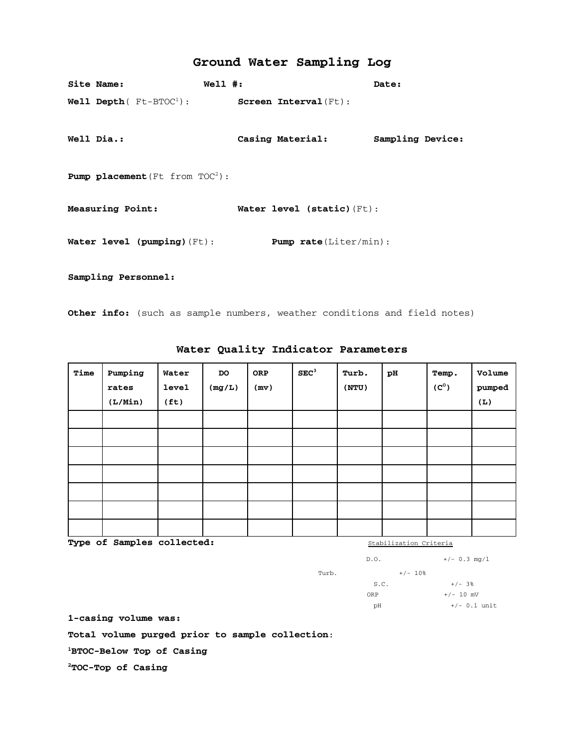### **Ground Water Sampling Log**

| Site Name:                               | $Well1$ #:                              | Date:            |
|------------------------------------------|-----------------------------------------|------------------|
| Well Depth ( $Ft-BTOC^1$ ):              | $Screen$ $Interval(Ft)$ :               |                  |
| Well Dia.:                               | Casing Material:                        | Sampling Device: |
| <b>Pump placement</b> (Ft from $TOC2$ ): |                                         |                  |
| Measuring Point:                         | Water level $(s \text{tatic})$ $(Ft)$ : |                  |
| Water level (pumping) $(Ft)$ :           | <b>Pump rate</b> $(Liter/min)$ :        |                  |
| Sampling Personnel:                      |                                         |                  |

**Other info:** (such as sample numbers, weather conditions and field notes)

| Time | Pumping<br>rates<br>(L/Min) | Water<br><b>level</b><br>(f <sub>t</sub> ) | DO<br>(mg/L) | ORP<br>(mv) | SEC <sup>3</sup> | Turb.<br>(NTU) | рH | Temp.<br>$(C^{\circ})$ | Volume<br>pumped<br>(L) |
|------|-----------------------------|--------------------------------------------|--------------|-------------|------------------|----------------|----|------------------------|-------------------------|
|      |                             |                                            |              |             |                  |                |    |                        |                         |
|      |                             |                                            |              |             |                  |                |    |                        |                         |
|      |                             |                                            |              |             |                  |                |    |                        |                         |
|      |                             |                                            |              |             |                  |                |    |                        |                         |
|      |                             |                                            |              |             |                  |                |    |                        |                         |
|      |                             |                                            |              |             |                  |                |    |                        |                         |
|      |                             |                                            |              |             |                  |                |    |                        |                         |

**Water Quality Indicator Parameters** 

**Type of Samples collected:**  $\frac{Stabilization Criteria}{S}$ 

|       | D.0. |           | $+/-$ 0.3 mg/1 |
|-------|------|-----------|----------------|
| Turb. |      | $+/- 10%$ |                |
|       | S.C. |           | $+/- 3%$       |
|       | ORP  |           | $+/- 10$ mV    |
|       | рH   |           | $+/- 0.1$ unit |
|       |      |           |                |

 **1-casing volume was:**

**Total volume purged prior to sample collection**:

**1BTOC-Below Top of Casing**

**2TOC-Top of Casing**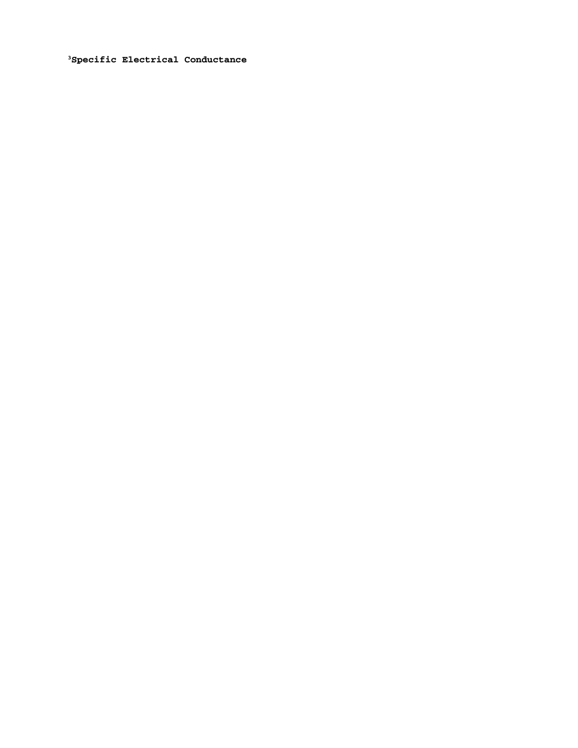**3Specific Electrical Conductance**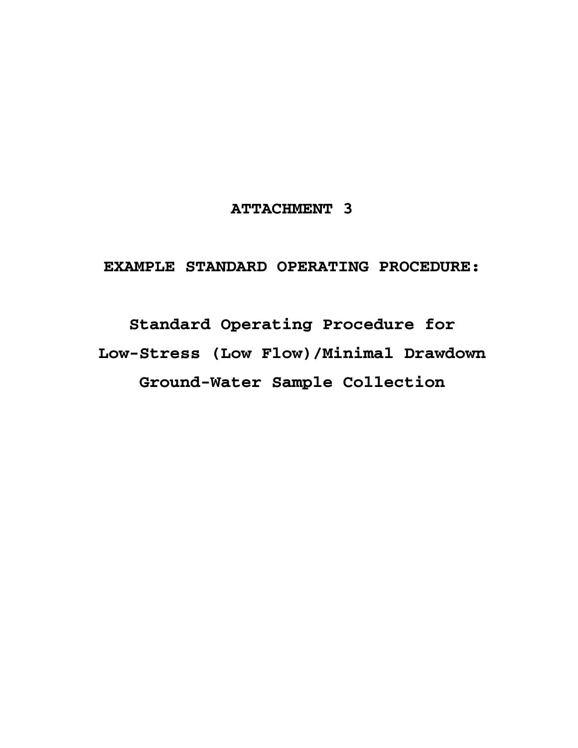## **ATTACHMENT 3**

## **EXAMPLE STANDARD OPERATING PROCEDURE:**

**Standard Operating Procedure for Low-Stress (Low Flow)/Minimal Drawdown Ground-Water Sample Collection**